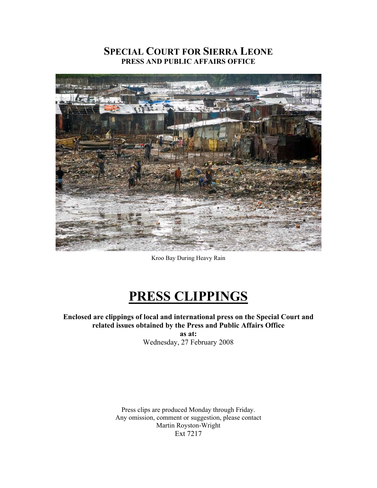# **SPECIAL COURT FOR SIERRA LEONE PRESS AND PUBLIC AFFAIRS OFFICE**



Kroo Bay During Heavy Rain

# **PRESS CLIPPINGS**

**Enclosed are clippings of local and international press on the Special Court and related issues obtained by the Press and Public Affairs Office** 

**as at:** 

Wednesday, 27 February 2008

Press clips are produced Monday through Friday. Any omission, comment or suggestion, please contact Martin Royston-Wright Ext 7217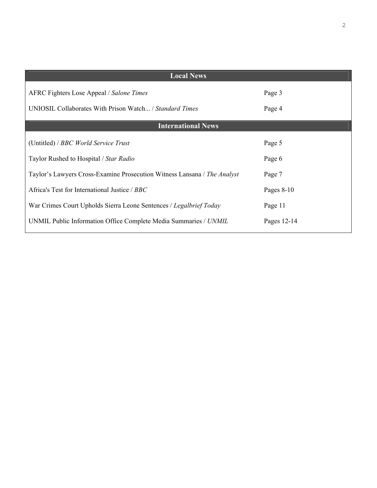| <b>Local News</b>                                                        |              |
|--------------------------------------------------------------------------|--------------|
| AFRC Fighters Lose Appeal / Salone Times                                 | Page 3       |
| UNIOSIL Collaborates With Prison Watch / Standard Times                  | Page 4       |
| <b>International News</b>                                                |              |
| (Untitled) / BBC World Service Trust                                     | Page 5       |
| Taylor Rushed to Hospital / Star Radio                                   | Page 6       |
| Taylor's Lawyers Cross-Examine Prosecution Witness Lansana / The Analyst | Page 7       |
| Africa's Test for International Justice / BBC                            | Pages $8-10$ |
| War Crimes Court Upholds Sierra Leone Sentences / Legalbrief Today       | Page 11      |
| UNMIL Public Information Office Complete Media Summaries / UNMIL         | Pages 12-14  |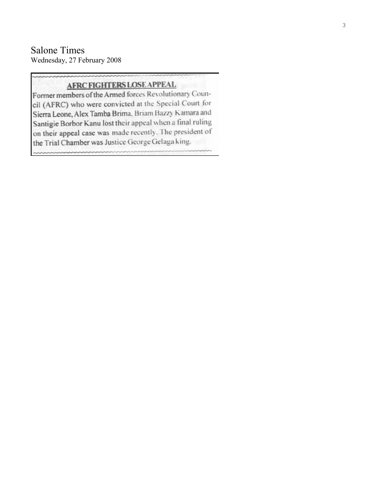# Salone Times Wednesday, 27 February 2008

# **AFRC FIGHTERS LOSE APPEAL**

Former members of the Armed forces Revolutionary Council (AFRC) who were convicted at the Special Court for Sierra Leone, Alex Tamba Brima, Briam Bazzy Kamara and Santigie Borbor Kanu lost their appeal when a final ruling on their appeal case was made recently. The president of the Trial Chamber was Justice George Gelaga king.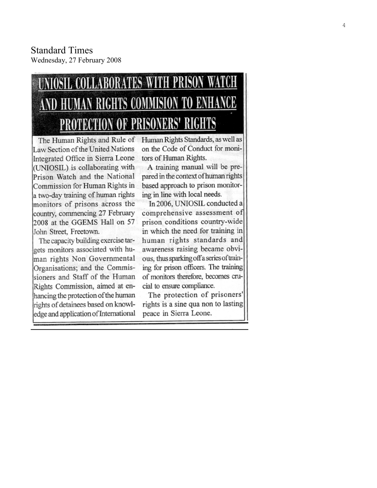# **COMMISION** RIGHTS ENHANCE NERS' RIGHTS

Law Section of the United Nations Integrated Office in Sierra Leone (UNIOSIL) is collaborating with Prison Watch and the National Commission for Human Rights in a two-day training of human rights monitors of prisons across the country, commencing 27 February 2008 at the GGEMS Hall on 57 John Street, Freetown.

The capacity building exercise targets monitors associated with human rights Non Governmental Organisations; and the Commissioners and Staff of the Human Rights Commission, aimed at enhancing the protection of the human rights of detainees based on knowledge and application of International

The Human Rights and Rule of Human Rights Standards, as well as on the Code of Conduct for monitors of Human Rights.

> A training manual will be prepared in the context of human rights based approach to prison monitoring in line with local needs.

In 2006, UNIOSIL conducted a comprehensive assessment of prison conditions country-wide in which the need for training in human rights standards and awareness raising became obvious, thus sparking off a series of training for prison officers. The training of monitors therefore, becomes crucial to ensure compliance.

The protection of prisoners' rights is a sine qua non to lasting peace in Sierra Leone.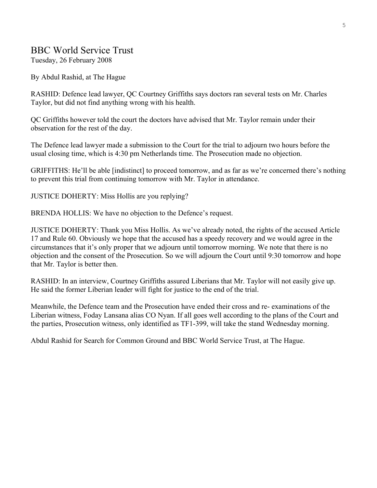# BBC World Service Trust

Tuesday, 26 February 2008

By Abdul Rashid, at The Hague

RASHID: Defence lead lawyer, QC Courtney Griffiths says doctors ran several tests on Mr. Charles Taylor, but did not find anything wrong with his health.

QC Griffiths however told the court the doctors have advised that Mr. Taylor remain under their observation for the rest of the day.

The Defence lead lawyer made a submission to the Court for the trial to adjourn two hours before the usual closing time, which is 4:30 pm Netherlands time. The Prosecution made no objection.

GRIFFITHS: He'll be able [indistinct] to proceed tomorrow, and as far as we're concerned there's nothing to prevent this trial from continuing tomorrow with Mr. Taylor in attendance.

JUSTICE DOHERTY: Miss Hollis are you replying?

BRENDA HOLLIS: We have no objection to the Defence's request.

JUSTICE DOHERTY: Thank you Miss Hollis. As we've already noted, the rights of the accused Article 17 and Rule 60. Obviously we hope that the accused has a speedy recovery and we would agree in the circumstances that it's only proper that we adjourn until tomorrow morning. We note that there is no objection and the consent of the Prosecution. So we will adjourn the Court until 9:30 tomorrow and hope that Mr. Taylor is better then.

RASHID: In an interview, Courtney Griffiths assured Liberians that Mr. Taylor will not easily give up. He said the former Liberian leader will fight for justice to the end of the trial.

Meanwhile, the Defence team and the Prosecution have ended their cross and re- examinations of the Liberian witness, Foday Lansana alias CO Nyan. If all goes well according to the plans of the Court and the parties, Prosecution witness, only identified as TF1-399, will take the stand Wednesday morning.

Abdul Rashid for Search for Common Ground and BBC World Service Trust, at The Hague.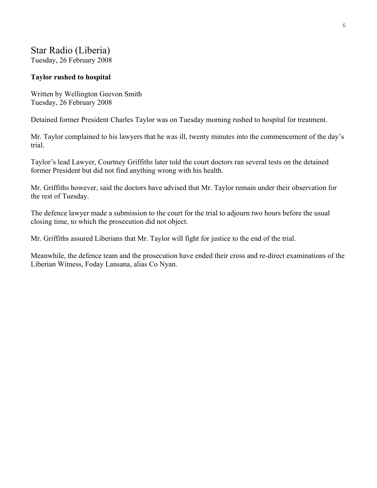# Star Radio (Liberia)

Tuesday, 26 February 2008

# **Taylor rushed to hospital**

Written by Wellington Geevon Smith Tuesday, 26 February 2008

Detained former President Charles Taylor was on Tuesday morning rushed to hospital for treatment.

Mr. Taylor complained to his lawyers that he was ill, twenty minutes into the commencement of the day's trial.

Taylor's lead Lawyer, Courtney Griffiths later told the court doctors ran several tests on the detained former President but did not find anything wrong with his health.

Mr. Griffiths however, said the doctors have advised that Mr. Taylor remain under their observation for the rest of Tuesday.

The defence lawyer made a submission to the court for the trial to adjourn two hours before the usual closing time, to which the prosecution did not object.

Mr. Griffiths assured Liberians that Mr. Taylor will fight for justice to the end of the trial.

Meanwhile, the defence team and the prosecution have ended their cross and re-direct examinations of the Liberian Witness, Foday Lansana, alias Co Nyan.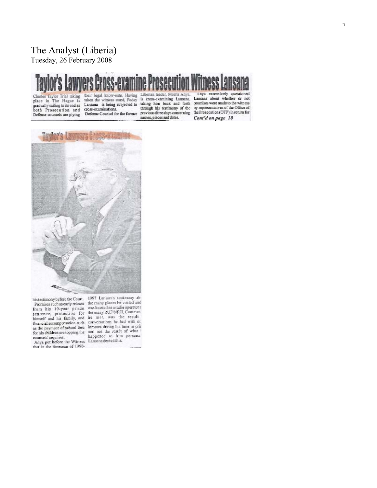# The Analyst (Liberia)

Tuesday, 26 February 2008

Charles Taylor Trial taking place in The Hague is gradually sailing to its end as<br>both Prosecution and Defense counsels are plying

their legal know-outs. Having taken the witness stand, Foday Lansana is being subjected to cross-examinations. Defense Counsel for the former

Liberian leader, Morris Anya, is cross-examining Lansana, taking him back and forth through his testimony of the

Anya extensively questioned<br>Lansana about whether or not promises were made to the witness by representatives of the Office of through his testimony of the by representatives of the Ortice of<br>previous three days concerning the Prosecution (OTP) in return for<br>names, places and dates. Cont'd on page 10 Cont'd on page 10



counsels' inquiries. happened to him<br>Anya put before the Witness Lansana denied this.<br>that in the timespan of 1990-

his testimony before the Court. 1997 Lansaria's commonly are<br>Promises such as early release the many places he visited and<br>from his 10-year prison was located as a radio operators from his 10-year prison was located as a plane operators<br>sentence, protection for the many RUF/NPFL Comman-<br>himself and his family, and he met, was the result<br>family commences the line in conversations he had with ot himself and his family, and he met, was the result of financial recompensation such conversations he had with ot as the payment of school fees innear studing his time in principle in fee his children are topping the and no happened to him personal

7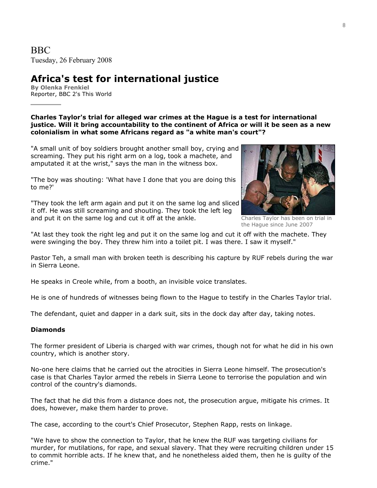# **Africa's test for international justice**

**By Olenka Frenkiel**  Reporter, BBC 2's This World

**Charles Taylor's trial for alleged war crimes at the Hague is a test for international justice. Will it bring accountability to the continent of Africa or will it be seen as a new colonialism in what some Africans regard as "a white man's court"?**

"A small unit of boy soldiers brought another small boy, crying and screaming. They put his right arm on a log, took a machete, and amputated it at the wrist," says the man in the witness box.

"The boy was shouting: 'What have I done that you are doing this to me?'

"They took the left arm again and put it on the same log and sliced it off. He was still screaming and shouting. They took the left leg and put it on the same log and cut it off at the ankle.



Charles Taylor has been on trial in the Hague since June 2007

"At last they took the right leg and put it on the same log and cut it off with the machete. They were swinging the boy. They threw him into a toilet pit. I was there. I saw it myself."

Pastor Teh, a small man with broken teeth is describing his capture by RUF rebels during the war in Sierra Leone.

He speaks in Creole while, from a booth, an invisible voice translates.

He is one of hundreds of witnesses being flown to the Hague to testify in the Charles Taylor trial.

The defendant, quiet and dapper in a dark suit, sits in the dock day after day, taking notes.

## **Diamonds**

The former president of Liberia is charged with war crimes, though not for what he did in his own country, which is another story.

No-one here claims that he carried out the atrocities in Sierra Leone himself. The prosecution's case is that Charles Taylor armed the rebels in Sierra Leone to terrorise the population and win control of the country's diamonds.

The fact that he did this from a distance does not, the prosecution argue, mitigate his crimes. It does, however, make them harder to prove.

The case, according to the court's Chief Prosecutor, Stephen Rapp, rests on linkage.

"We have to show the connection to Taylor, that he knew the RUF was targeting civilians for murder, for mutilations, for rape, and sexual slavery. That they were recruiting children under 15 to commit horrible acts. If he knew that, and he nonetheless aided them, then he is guilty of the crime."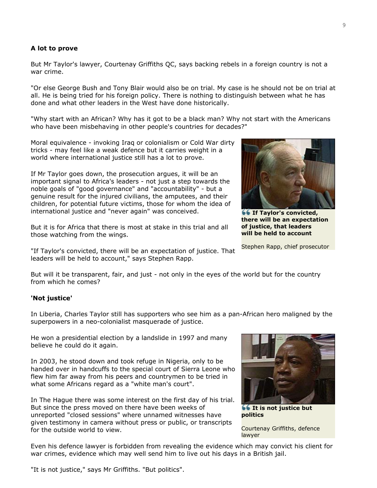#### **A lot to prove**

But Mr Taylor's lawyer, Courtenay Griffiths QC, says backing rebels in a foreign country is not a war crime.

"Or else George Bush and Tony Blair would also be on trial. My case is he should not be on trial at all. He is being tried for his foreign policy. There is nothing to distinguish between what he has done and what other leaders in the West have done historically.

"Why start with an African? Why has it got to be a black man? Why not start with the Americans who have been misbehaving in other people's countries for decades?"

Moral equivalence - invoking Iraq or colonialism or Cold War dirty tricks - may feel like a weak defence but it carries weight in a world where international justice still has a lot to prove.

If Mr Taylor goes down, the prosecution argues, it will be an important signal to Africa's leaders - not just a step towards the noble goals of "good governance" and "accountability" - but a genuine result for the injured civilians, the amputees, and their children, for potential future victims, those for whom the idea of international justice and "never again" was conceived.

But it is for Africa that there is most at stake in this trial and all those watching from the wings.

"If Taylor's convicted, there will be an expectation of justice. That leaders will be held to account," says Stephen Rapp.

But will it be transparent, fair, and just - not only in the eyes of the world but for the country from which he comes?

## **'Not justice'**

In Liberia, Charles Taylor still has supporters who see him as a pan-African hero maligned by the superpowers in a neo-colonialist masquerade of justice.

He won a presidential election by a landslide in 1997 and many believe he could do it again.

In 2003, he stood down and took refuge in Nigeria, only to be handed over in handcuffs to the special court of Sierra Leone who flew him far away from his peers and countrymen to be tried in what some Africans regard as a "white man's court".

In The Hague there was some interest on the first day of his trial. But since the press moved on there have been weeks of unreported "closed sessions" where unnamed witnesses have given testimony in camera without press or public, or transcripts for the outside world to view.



**66 It is not justice but politics**

Courtenay Griffiths, defence lawyer

Even his defence lawyer is forbidden from revealing the evidence which may convict his client for war crimes, evidence which may well send him to live out his days in a British jail.

"It is not justice," says Mr Griffiths. "But politics".

**If Taylor's convicted, there will be an expectation of justice, that leaders will be held to account**

Stephen Rapp, chief prosecutor

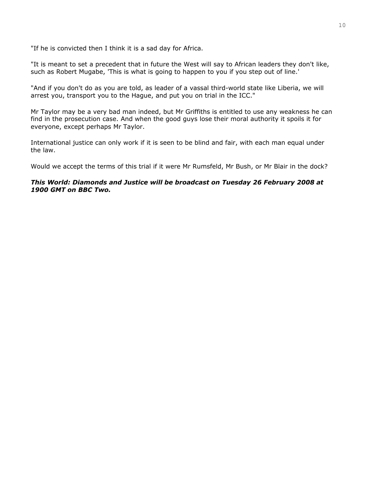"If he is convicted then I think it is a sad day for Africa.

"It is meant to set a precedent that in future the West will say to African leaders they don't like, such as Robert Mugabe, 'This is what is going to happen to you if you step out of line.'

"And if you don't do as you are told, as leader of a vassal third-world state like Liberia, we will arrest you, transport you to the Hague, and put you on trial in the ICC."

Mr Taylor may be a very bad man indeed, but Mr Griffiths is entitled to use any weakness he can find in the prosecution case. And when the good guys lose their moral authority it spoils it for everyone, except perhaps Mr Taylor.

International justice can only work if it is seen to be blind and fair, with each man equal under the law.

Would we accept the terms of this trial if it were Mr Rumsfeld, Mr Bush, or Mr Blair in the dock?

#### *This World: Diamonds and Justice will be broadcast on Tuesday 26 February 2008 at 1900 GMT on BBC Two.*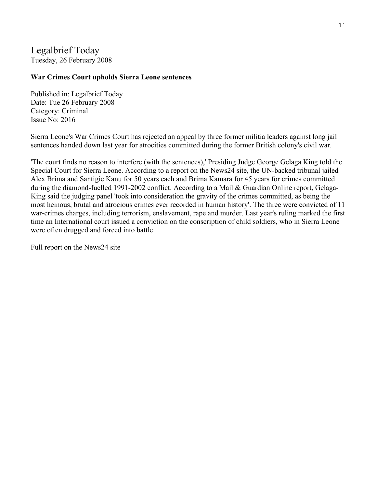# Legalbrief Today Tuesday, 26 February 2008

# **War Crimes Court upholds Sierra Leone sentences**

Published in: Legalbrief Today Date: Tue 26 February 2008 Category: Criminal Issue No: 2016

Sierra Leone's War Crimes Court has rejected an appeal by three former militia leaders against long jail sentences handed down last year for atrocities committed during the former British colony's civil war.

'The court finds no reason to interfere (with the sentences),' Presiding Judge George Gelaga King told the Special Court for Sierra Leone. According to a report on the News24 site, the UN-backed tribunal jailed Alex Brima and Santigie Kanu for 50 years each and Brima Kamara for 45 years for crimes committed during the diamond-fuelled 1991-2002 conflict. According to a Mail & Guardian Online report, Gelaga-King said the judging panel 'took into consideration the gravity of the crimes committed, as being the most heinous, brutal and atrocious crimes ever recorded in human history'. The three were convicted of 11 war-crimes charges, including terrorism, enslavement, rape and murder. Last year's ruling marked the first time an International court issued a conviction on the conscription of child soldiers, who in Sierra Leone were often drugged and forced into battle.

Full report on the News24 site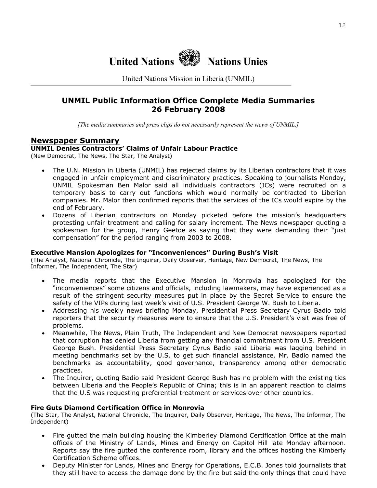

United Nations Mission in Liberia (UNMIL)

# **UNMIL Public Information Office Complete Media Summaries 26 February 2008**

*[The media summaries and press clips do not necessarily represent the views of UNMIL.]*

# **Newspaper Summary**

# **UNMIL Denies Contractors' Claims of Unfair Labour Practice**

(New Democrat, The News, The Star, The Analyst)

- The U.N. Mission in Liberia (UNMIL) has rejected claims by its Liberian contractors that it was engaged in unfair employment and discriminatory practices. Speaking to journalists Monday, UNMIL Spokesman Ben Malor said all individuals contractors (ICs) were recruited on a temporary basis to carry out functions which would normally be contracted to Liberian companies. Mr. Malor then confirmed reports that the services of the ICs would expire by the end of February.
- Dozens of Liberian contractors on Monday picketed before the mission's headquarters protesting unfair treatment and calling for salary increment. The News newspaper quoting a spokesman for the group, Henry Geetoe as saying that they were demanding their "just compensation" for the period ranging from 2003 to 2008.

## **Executive Mansion Apologizes for "Inconveniences" During Bush's Visit**

(The Analyst, National Chronicle, The Inquirer, Daily Observer, Heritage, New Democrat, The News, The Informer, The Independent, The Star)

- The media reports that the Executive Mansion in Monrovia has apologized for the "inconveniences" some citizens and officials, including lawmakers, may have experienced as a result of the stringent security measures put in place by the Secret Service to ensure the safety of the VIPs during last week's visit of U.S. President George W. Bush to Liberia.
- Addressing his weekly news briefing Monday, Presidential Press Secretary Cyrus Badio told reporters that the security measures were to ensure that the U.S. President's visit was free of problems.
- Meanwhile, The News, Plain Truth, The Independent and New Democrat newspapers reported that corruption has denied Liberia from getting any financial commitment from U.S. President George Bush. Presidential Press Secretary Cyrus Badio said Liberia was lagging behind in meeting benchmarks set by the U.S. to get such financial assistance. Mr. Badio named the benchmarks as accountability, good governance, transparency among other democratic practices.
- The Inquirer, quoting Badio said President George Bush has no problem with the existing ties between Liberia and the People's Republic of China; this is in an apparent reaction to claims that the U.S was requesting preferential treatment or services over other countries.

## **Fire Guts Diamond Certification Office in Monrovia**

(The Star, The Analyst, National Chronicle, The Inquirer, Daily Observer, Heritage, The News, The Informer, The Independent)

- Fire gutted the main building housing the Kimberley Diamond Certification Office at the main offices of the Ministry of Lands, Mines and Energy on Capitol Hill late Monday afternoon. Reports say the fire gutted the conference room, library and the offices hosting the Kimberly Certification Scheme offices.
- Deputy Minister for Lands, Mines and Energy for Operations, E.C.B. Jones told journalists that they still have to access the damage done by the fire but said the only things that could have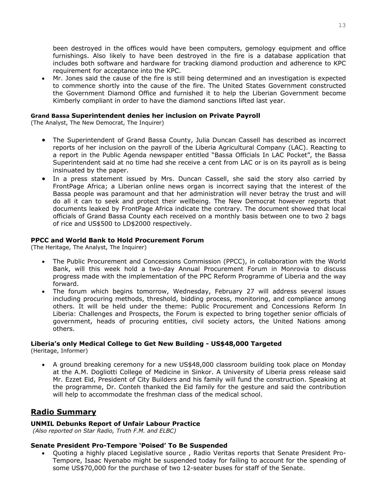been destroyed in the offices would have been computers, gemology equipment and office furnishings. Also likely to have been destroyed in the fire is a database application that includes both software and hardware for tracking diamond production and adherence to KPC requirement for acceptance into the KPC.

• Mr. Jones said the cause of the fire is still being determined and an investigation is expected to commence shortly into the cause of the fire. The United States Government constructed the Government Diamond Office and furnished it to help the Liberian Government become Kimberly compliant in order to have the diamond sanctions lifted last year.

#### **Grand Bassa Superintendent denies her inclusion on Private Payroll**

(The Analyst, The New Democrat, The Inquirer)

- The Superintendent of Grand Bassa County, Julia Duncan Cassell has described as incorrect reports of her inclusion on the payroll of the Liberia Agricultural Company (LAC). Reacting to a report in the Public Agenda newspaper entitled "Bassa Officials In LAC Pocket", the Bassa Superintendent said at no time had she receive a cent from LAC or is on its payroll as is being insinuated by the paper.
- In a press statement issued by Mrs. Duncan Cassell, she said the story also carried by FrontPage Africa; a Liberian online news organ is incorrect saying that the interest of the Bassa people was paramount and that her administration will never betray the trust and will do all it can to seek and protect their wellbeing. The New Democrat however reports that documents leaked by FrontPage Africa indicate the contrary. The document showed that local officials of Grand Bassa County each received on a monthly basis between one to two 2 bags of rice and US\$500 to LD\$2000 respectively.

## **PPCC and World Bank to Hold Procurement Forum**

(The Heritage, The Analyst, The Inquirer)

- The Public Procurement and Concessions Commission (PPCC), in collaboration with the World Bank, will this week hold a two-day Annual Procurement Forum in Monrovia to discuss progress made with the implementation of the PPC Reform Programme of Liberia and the way forward.
- The forum which begins tomorrow, Wednesday, February 27 will address several issues including procuring methods, threshold, bidding process, monitoring, and compliance among others. It will be held under the theme: Public Procurement and Concessions Reform In Liberia: Challenges and Prospects, the Forum is expected to bring together senior officials of government, heads of procuring entities, civil society actors, the United Nations among others.

## **Liberia's only Medical College to Get New Building - US\$48,000 Targeted**

(Heritage, Informer)

• A ground breaking ceremony for a new US\$48,000 classroom building took place on Monday at the A.M. Dogliotti College of Medicine in Sinkor. A University of Liberia press release said Mr. Ezzet Eid, President of City Builders and his family will fund the construction. Speaking at the programme, Dr. Conteh thanked the Eid family for the gesture and said the contribution will help to accommodate the freshman class of the medical school.

# **Radio Summary**

## **UNMIL Debunks Report of Unfair Labour Practice**

 *(Also reported on Star Radio, Truth F.M. and ELBC)* 

#### **Senate President Pro-Tempore 'Poised' To Be Suspended**

• Quoting a highly placed Legislative source , Radio Veritas reports that Senate President Pro-Tempore, Isaac Nyenabo might be suspended today for failing to account for the spending of some US\$70,000 for the purchase of two 12-seater buses for staff of the Senate.